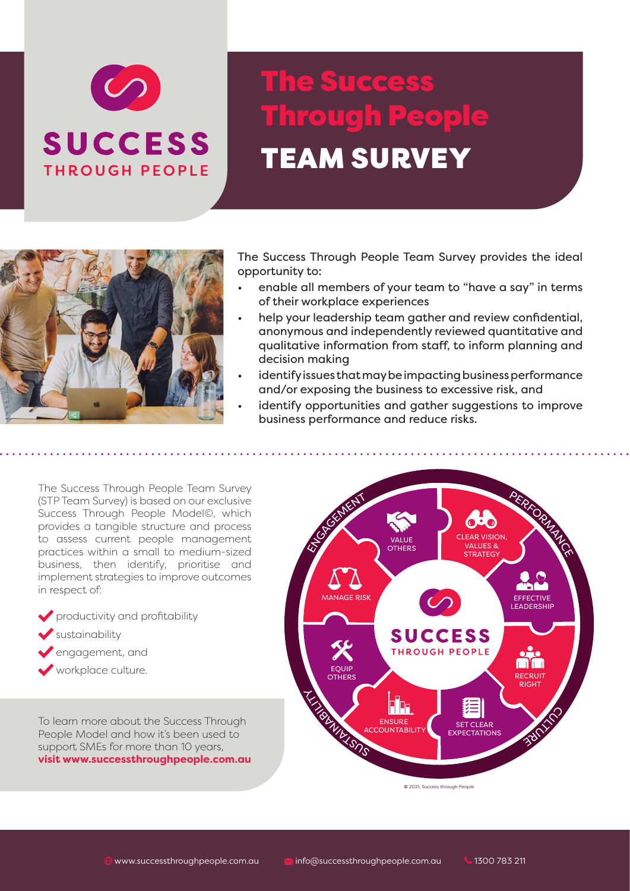

# The Success Through People TEAM SURVEY



The Success Through People Team Survey provides the ideal opportunity to:

- enable all members of your team to "have a say" in terms of their workplace experiences
- help your leadership team gather and review confidential, anonymous and independently reviewed quantitative and qualitative information from staff, to inform planning and decision making
- identify issues that may be impacting business performance and/or exposing the business to excessive risk, and
- identify opportunities and gather suggestions to improve business performance and reduce risks.

The Success Through People Team Survey (STP Team Survey) is based on our exclusive Success Through People Model©, which provides a tangible structure and process to assess current people management practices within a small to medium-sized business, then identify, prioritise and implement strategies to improve outcomes in respect of:

- productivity and profitability
- $\blacktriangleright$  sustainability
- engagement, and
- workplace culture.

To learn more about the Success Through People Model and how it's been used to support SMEs for more than 10 years, **visit www.successthroughpeople.com.au** 



 $© 2021, Success through People$